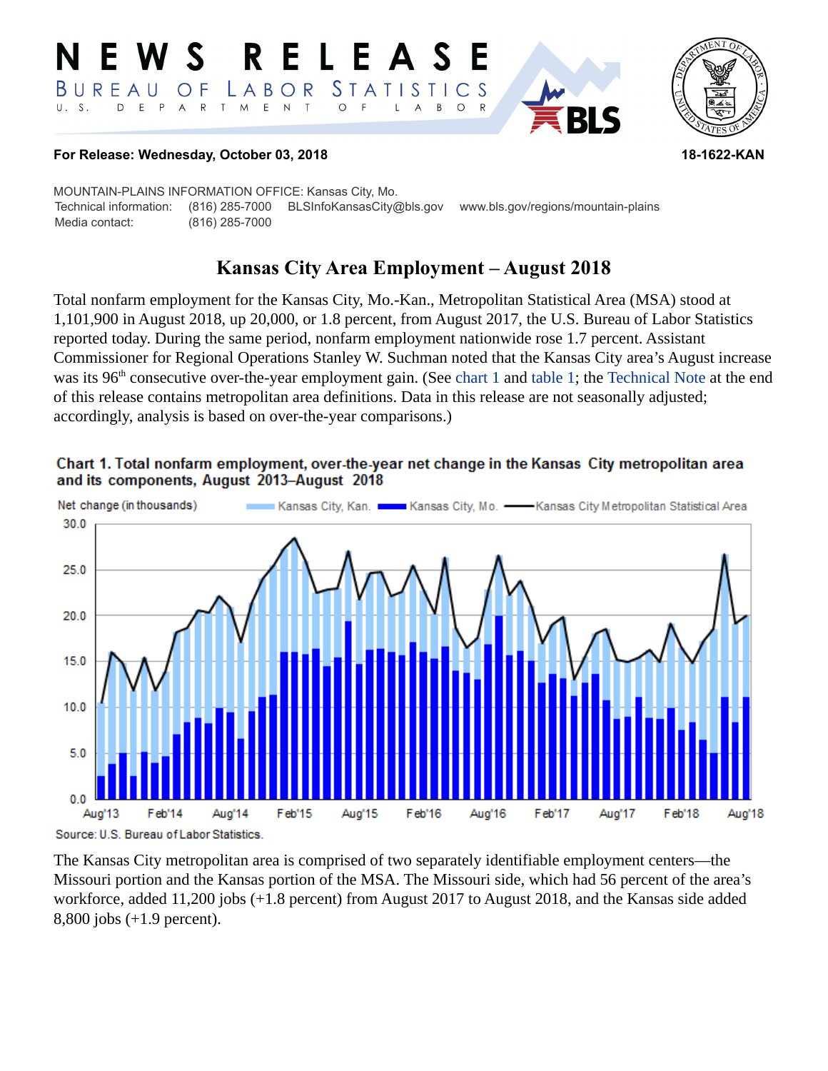#### LEA R. E.  $C<sub>S</sub>$ STAT BURE L A B OR S TΙ  $\mathsf E$  $\top$ S. E  $P$  $\mathsf{R}$  $\mathsf{T}$ M  $\mathsf{N}\xspace$  $\circ$  $\circ$  $\mathsf{R}$ A B



#### **For Release: Wednesday, October 03, 2018 18-1622-KAN**

MOUNTAIN-PLAINS INFORMATION OFFICE: Kansas City, Mo. Technical information: (816) 285-7000 BLSInfoKansasCity@bls.gov www.bls.gov/regions/mountain-plains Media contact: (816) 285-7000

# **Kansas City Area Employment – August 2018**

Total nonfarm employment for the Kansas City, Mo.-Kan., Metropolitan Statistical Area (MSA) stood at 1,101,900 in August 2018, up 20,000, or 1.8 percent, from August 2017, the U.S. Bureau of Labor Statistics reported today. During the same period, nonfarm employment nationwide rose 1.7 percent. Assistant Commissioner for Regional Operations Stanley W. Suchman noted that the Kansas City area's August increase was its  $96<sup>th</sup>$  consecutive over-the-year employment gain. (See [chart 1](#page-0-0) and [table 1](#page-3-0); the [Technical Note](#page-1-0) at the end of this release contains metropolitan area definitions. Data in this release are not seasonally adjusted; accordingly, analysis is based on over-the-year comparisons.)

<span id="page-0-0"></span>



The Kansas City metropolitan area is comprised of two separately identifiable employment centers—the Missouri portion and the Kansas portion of the MSA. The Missouri side, which had 56 percent of the area's workforce, added 11,200 jobs (+1.8 percent) from August 2017 to August 2018, and the Kansas side added 8,800 jobs (+1.9 percent).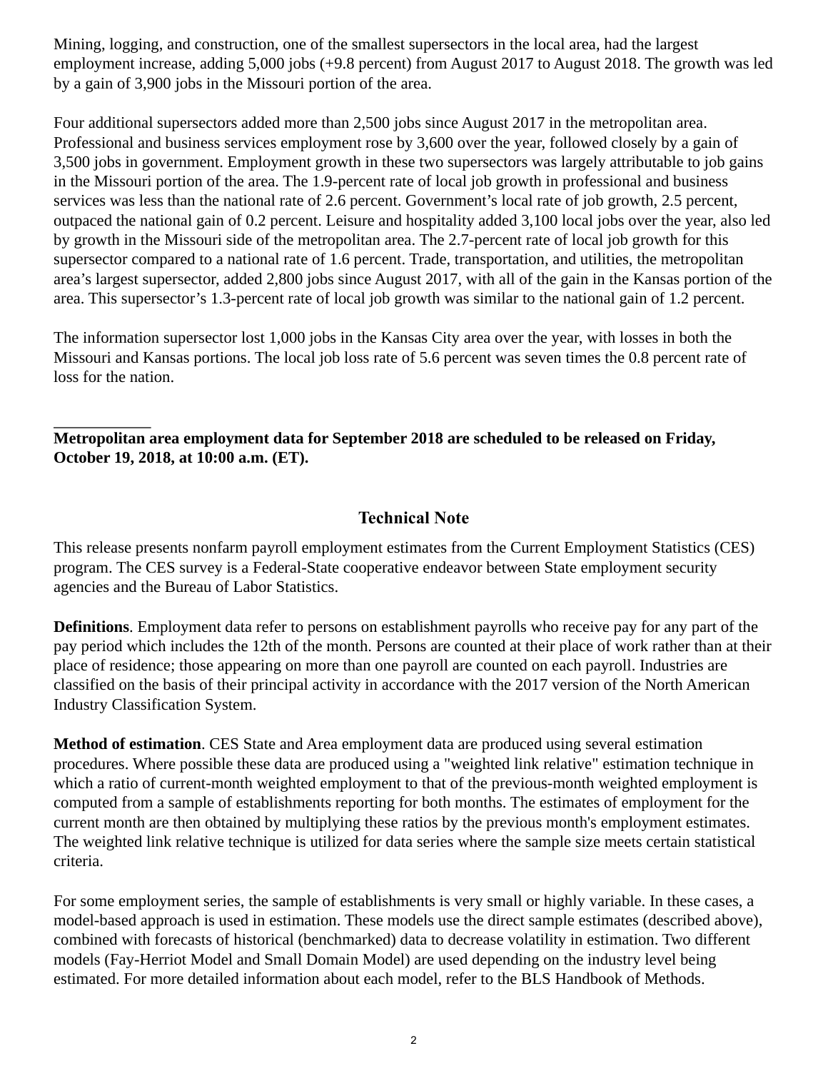Mining, logging, and construction, one of the smallest supersectors in the local area, had the largest employment increase, adding 5,000 jobs (+9.8 percent) from August 2017 to August 2018. The growth was led by a gain of 3,900 jobs in the Missouri portion of the area.

Four additional supersectors added more than 2,500 jobs since August 2017 in the metropolitan area. Professional and business services employment rose by 3,600 over the year, followed closely by a gain of 3,500 jobs in government. Employment growth in these two supersectors was largely attributable to job gains in the Missouri portion of the area. The 1.9-percent rate of local job growth in professional and business services was less than the national rate of 2.6 percent. Government's local rate of job growth, 2.5 percent, outpaced the national gain of 0.2 percent. Leisure and hospitality added 3,100 local jobs over the year, also led by growth in the Missouri side of the metropolitan area. The 2.7-percent rate of local job growth for this supersector compared to a national rate of 1.6 percent. Trade, transportation, and utilities, the metropolitan area's largest supersector, added 2,800 jobs since August 2017, with all of the gain in the Kansas portion of the area. This supersector's 1.3-percent rate of local job growth was similar to the national gain of 1.2 percent.

The information supersector lost 1,000 jobs in the Kansas City area over the year, with losses in both the Missouri and Kansas portions. The local job loss rate of 5.6 percent was seven times the 0.8 percent rate of loss for the nation.

## **Metropolitan area employment data for September 2018 are scheduled to be released on Friday, October 19, 2018, at 10:00 a.m. (ET).**

# **Technical Note**

<span id="page-1-0"></span>This release presents nonfarm payroll employment estimates from the Current Employment Statistics (CES) program. The CES survey is a Federal-State cooperative endeavor between State employment security agencies and the Bureau of Labor Statistics.

**Definitions**. Employment data refer to persons on establishment payrolls who receive pay for any part of the pay period which includes the 12th of the month. Persons are counted at their place of work rather than at their place of residence; those appearing on more than one payroll are counted on each payroll. Industries are classified on the basis of their principal activity in accordance with the 2017 version of the North American Industry Classification System.

**Method of estimation**. CES State and Area employment data are produced using several estimation procedures. Where possible these data are produced using a "weighted link relative" estimation technique in which a ratio of current-month weighted employment to that of the previous-month weighted employment is computed from a sample of establishments reporting for both months. The estimates of employment for the current month are then obtained by multiplying these ratios by the previous month's employment estimates. The weighted link relative technique is utilized for data series where the sample size meets certain statistical criteria.

For some employment series, the sample of establishments is very small or highly variable. In these cases, a model-based approach is used in estimation. These models use the direct sample estimates (described above), combined with forecasts of historical (benchmarked) data to decrease volatility in estimation. Two different models (Fay-Herriot Model and Small Domain Model) are used depending on the industry level being estimated. For more detailed information about each model, refer to the BLS Handbook of Methods.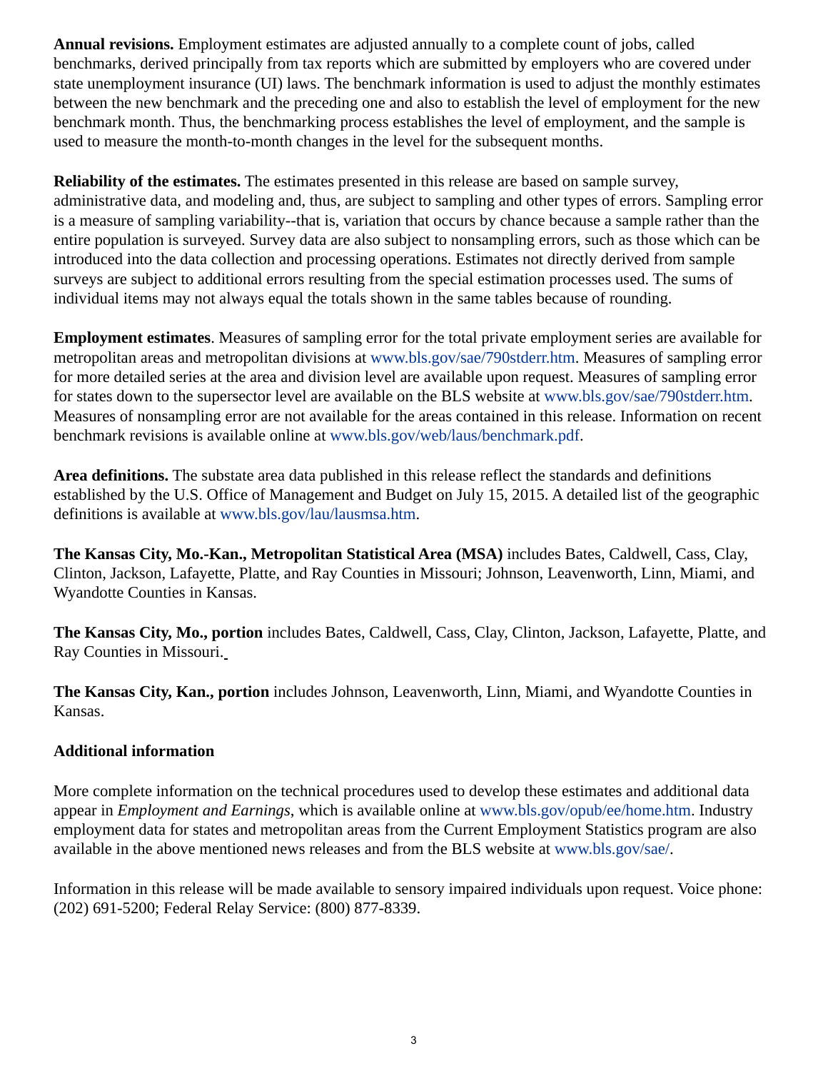**Annual revisions.** Employment estimates are adjusted annually to a complete count of jobs, called benchmarks, derived principally from tax reports which are submitted by employers who are covered under state unemployment insurance (UI) laws. The benchmark information is used to adjust the monthly estimates between the new benchmark and the preceding one and also to establish the level of employment for the new benchmark month. Thus, the benchmarking process establishes the level of employment, and the sample is used to measure the month-to-month changes in the level for the subsequent months.

**Reliability of the estimates.** The estimates presented in this release are based on sample survey, administrative data, and modeling and, thus, are subject to sampling and other types of errors. Sampling error is a measure of sampling variability--that is, variation that occurs by chance because a sample rather than the entire population is surveyed. Survey data are also subject to nonsampling errors, such as those which can be introduced into the data collection and processing operations. Estimates not directly derived from sample surveys are subject to additional errors resulting from the special estimation processes used. The sums of individual items may not always equal the totals shown in the same tables because of rounding.

**Employment estimates**. Measures of sampling error for the total private employment series are available for metropolitan areas and metropolitan divisions at [www.bls.gov/sae/790stderr.htm.](https://www.bls.gov/sae/790stderr.htm) Measures of sampling error for more detailed series at the area and division level are available upon request. Measures of sampling error for states down to the supersector level are available on the BLS website at [www.bls.gov/sae/790stderr.htm.](https://www.bls.gov/sae/790stderr.htm) Measures of nonsampling error are not available for the areas contained in this release. Information on recent benchmark revisions is available online at [www.bls.gov/web/laus/benchmark.pdf.](https://www.bls.gov/web/laus/benchmark.pdf)

**Area definitions.** The substate area data published in this release reflect the standards and definitions established by the U.S. Office of Management and Budget on July 15, 2015. A detailed list of the geographic definitions is available at [www.bls.gov/lau/lausmsa.htm.](https://www.bls.gov/lau/lausmsa.htm)

**The Kansas City, Mo.-Kan., Metropolitan Statistical Area (MSA)** includes Bates, Caldwell, Cass, Clay, Clinton, Jackson, Lafayette, Platte, and Ray Counties in Missouri; Johnson, Leavenworth, Linn, Miami, and Wyandotte Counties in Kansas.

**The Kansas City, Mo., portion** includes Bates, Caldwell, Cass, Clay, Clinton, Jackson, Lafayette, Platte, and Ray Counties in Missouri.

**The Kansas City, Kan., portion** includes Johnson, Leavenworth, Linn, Miami, and Wyandotte Counties in Kansas.

### **Additional information**

More complete information on the technical procedures used to develop these estimates and additional data appear in *Employment and Earnings*, which is available online at [www.bls.gov/opub/ee/home.htm](https://www.bls.gov/opub/ee/home.htm). Industry employment data for states and metropolitan areas from the Current Employment Statistics program are also available in the above mentioned news releases and from the BLS website at [www.bls.gov/sae/](https://www.bls.gov/sae).

Information in this release will be made available to sensory impaired individuals upon request. Voice phone: (202) 691-5200; Federal Relay Service: (800) 877-8339.